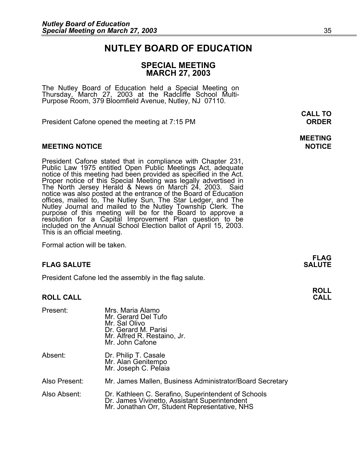### **NUTLEY BOARD OF EDUCATION**

### **SPECIAL MEETING MARCH 27, 2003**

The Nutley Board of Education held a Special Meeting on Thursday, March 27, 2003 at the Radcliffe School Multi-Purpose Room, 379 Bloomfield Avenue, Nutley, NJ 07110.

President Cafone opened the meeting at 7:15 PM **ORDER**

#### **MEETING NOTICE NOTICE AND INSTRUMENT IN A SET ON A SET ON A SET ON A SET ON A SET ON A SET ON A SET ON A SET O**

President Cafone stated that in compliance with Chapter 231,<br>Public Law 1975 entitled Open Public Meetings Act, adequate<br>notice of this meeting had been provided as specified in the Act.<br>Proper notice of this Special Meeti notice was also posted at the entrance of the Board of Education France was also posted at the entrance of the Board of Education<br>offices, mailed to, The Nutley Sun, The Star Ledger, and The<br>Nutley Journal and mailed to the Nutley Township Clerk. The<br>purpose of this meeting will be for included on the Annual School Election ballot of April 15, 2003. This is an official meeting.

Formal action will be taken.

#### **FLAG SALUTE SALUTE SALUTE**

President Cafone led the assembly in the flag salute.

#### **ROLL CALL**

| Present:      | Mrs. Maria Alamo<br>Mr. Gerard Del Tufo<br>Mr. Sal Olivo<br>Dr. Gerard M. Parisi<br>Mr. Alfred R. Restaino, Jr.<br>Mr. John Cafone                    |
|---------------|-------------------------------------------------------------------------------------------------------------------------------------------------------|
| Absent:       | Dr. Philip T. Casale<br>Mr. Alan Genitempo<br>Mr. Joseph C. Pelaia                                                                                    |
| Also Present: | Mr. James Mallen, Business Administrator/Board Secretary                                                                                              |
| Also Absent:  | Dr. Kathleen C. Serafino, Superintendent of Schools<br>Dr. James Vivinetto, Assistant Superintendent<br>Mr. Jonathan Orr, Student Representative, NHS |

 **CALL TO** 

# **MEETING**

**FLAG** 

## **ROLL**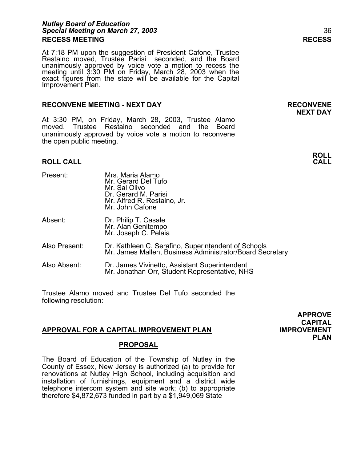At 7:18 PM upon the suggestion of President Cafone, Trustee Restaino moved, Trustee Parisi seconded, and the Board unanimously approved by voice vote a motion to recess the meeting until 3:30 PM on Friday, March 28, 2003 when the exact figures from the state will be available for the Capital Improvement Plan.

#### **RECONVENE MEETING - NEXT DAY RECONVENE**

At 3:30 PM, on Friday, March 28, 2003, Trustee Alamo moved, Trustee Restaino seconded and the Board unanimously approved by voice vote a motion to reconvene the open public meeting.

#### **ROLL CALL CALL**

- Present: Mrs. Maria Alamo Mr. Gerard Del Tufo Mr. Sal Olivo Dr. Gerard M. Parisi
- Absent: Dr. Philip T. Casale Mr. Alan Genitempo Mr. Joseph C. Pelaia
- Also Present: Dr. Kathleen C. Serafino, Superintendent of Schools Mr. James Mallen, Business Administrator/Board Secretary
- Also Absent: Dr. James Vivinetto, Assistant Superintendent Mr. Jonathan Orr, Student Representative, NHS

Mr. Alfred R. Restaino, Jr.

Mr. John Cafone

Trustee Alamo moved and Trustee Del Tufo seconded the following resolution:

#### **APPROVAL FOR A CAPITAL IMPROVEMENT PLAN IMPROVEMENT**

#### **PROPOSAL**

The Board of Education of the Township of Nutley in the County of Essex, New Jersey is authorized (a) to provide for renovations at Nutley High School, including acquisition and installation of furnishings, equipment and a district wide telephone intercom system and site work; (b) to appropriate therefore \$4,872,673 funded in part by a \$1,949,069 State

**NEXT DAY** 

**APPROVE CAPITAL PLAN**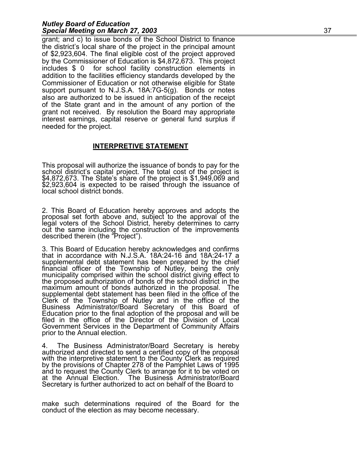#### *Nutley Board of Education Special Meeting on March 27, 2003* 37

grant; and c) to issue bonds of the School District to finance the district's local share of the project in the principal amount of \$2,923,604. The final eligible cost of the project approved by the Commissioner of Education is \$4,872,673. This project includes \$ 0 for school facility construction elements in addition to the facilities efficiency standards developed by the Commissioner of Education or not otherwise eligible for State support pursuant to N.J.S.A. 18A:7G-5(g). Bonds or notes also are authorized to be issued in anticipation of the receipt of the State grant and in the amount of any portion of the grant not received. By resolution the Board may appropriate interest earnings, capital reserve or general fund surplus if needed for the project.

#### **INTERPRETIVE STATEMENT**

This proposal will authorize the issuance of bonds to pay for the school district's capital project. The total cost of the project is \$4,872,673. The State's share of the project is \$1,949,069 and \$2,923,604 is expected to

2. This Board of Education hereby approves and adopts the proposal set forth above and, subject to the approval of the legal voters of the School District, hereby determines to carry out the same including the construction of the improvements described therein (the "Project").

3. This Board of Education hereby acknowledges and confirms<br>that in accordance with N.J.S.A. 18A:24-16 and 18A:24-17 a supplemental debt statement has been prepared by the chief financial officer of the Township of Nutley, being the only financial officer of the Township of Nutley, being the only municipality comprised within the school district giving effect to the proposed authorization of bonds of the school district in the maximum amount of bonds authorized in the proposal. The supplemental debt statement has been filed in the office of the Clerk of the Township of Nutley and in the office of the<br>Business Administrator/Board Secretary of this Board of<br>Education prior to the final adoption of the proposal and will be filed in the office of the Director of the Division of Local Government Services in the Department of Community Affairs prior to the Annual election.

4. The Business Administrator/Board Secretary is hereby<br>authorized and directed to send a certified copy of the proposal<br>with the interpretive statement to the County Clerk as required<br>by the provisions of Chapter 278 of t at the Annual Election. The Business Administrator/Board Secretary is further authorized to act on behalf of the Board to

make such determinations required of the Board for the conduct of the election as may become necessary.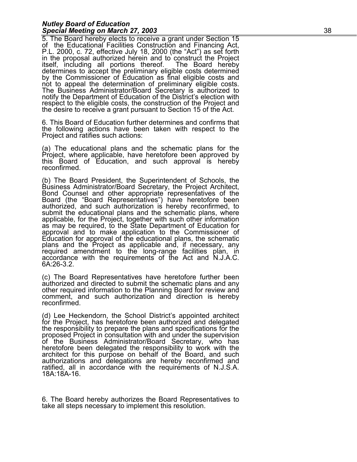#### *Nutley Board of Education Special Meeting on March 27, 2003* 38

5. The Board hereby elects to receive a grant under Section 15<br>of the Educational Facilities Construction and Financing Act,<br>P.L. 2000, c. 72, effective July 18, 2000 (the "Act") as set forth<br>in the proposal authorized her the desire to receive a grant pursuant to Section 15 of the Act.

6. This Board of Education further determines and confirms that the following actions have been taken with respect to the Project and ratifies such actions:

(a) The educational plans and the schematic plans for the Project, where applicable, have heretofore been approved by this Board of Education, and such approval is hereby reconfirmed.

(b) The Board President, the Superintendent of Schools, the Business Administrator/Board Secretary, the Project Architect, Bond Counsel and other appropriate representatives of the Board (the "Board Representatives") have as may be required, to the State Department of Education for approval and to make application to the Commissioner of Education for approval of the educational plans, the schematic required amendment to the long-range facilities plan, in accordance with the requirements of the Act and N.J.A.C. 6A:26-3.2.

(c) The Board Representatives have heretofore further been authorized and directed to submit the schematic plans and any other required information to the Planning Board for review and comment, and such authorization and direction is hereby reconfirmed.

(d) Lee Heckendorn, the School District's appointed architect for the Project, has heretofore been authorized and delegated the responsibility to prepare the plans and specifications for the of the Business Administrator/Board Secretary, who has<br>heretofore been delegated the responsibility to work with the<br>architect for this purpose on behalf of the Board, and such authorizations and delegations are hereby reconfirmed and ratified, all in accordance with the requirements of N.J.S.A. 18A:18A-16.

6. The Board hereby authorizes the Board Representatives to take all steps necessary to implement this resolution.